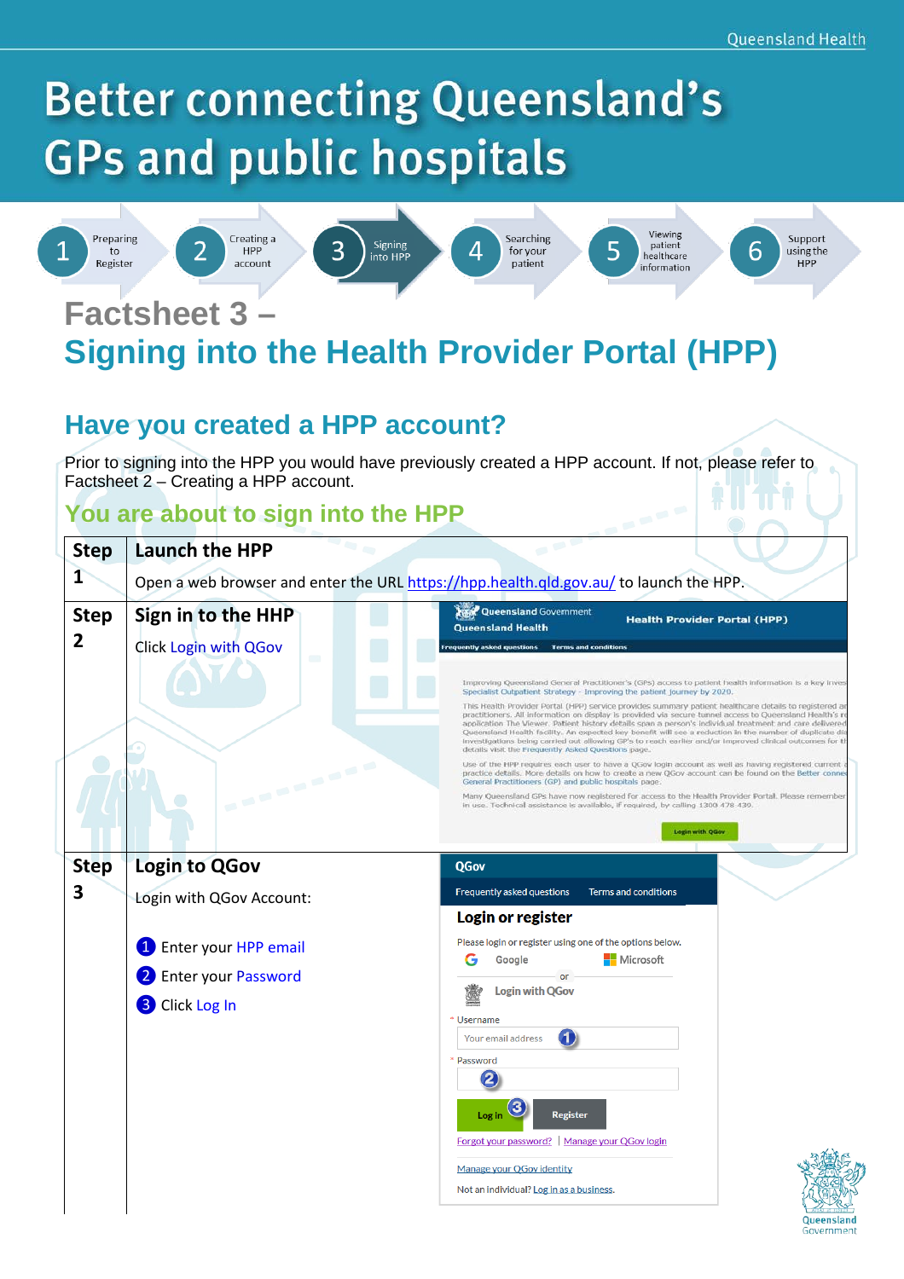# **Better connecting Queensland's GPs and public hospitals**



to

Register





3







Searching

for your

patient







## **Factsheet 3 – Signing into the Health Provider Portal (HPP)**

## **Have you created a HPP account?**

Prior to signing into the HPP you would have previously created a HPP account. If not, please refer to Factsheet 2 – Creating a HPP account.

#### **You are about to sign into the HPP**

| <b>Step</b><br>1              | <b>Launch the HPP</b>                                                                                                                               | Open a web browser and enter the URL https://hpp.health.qld.gov.au/ to launch the HPP.                                                                                                                                                                                                                                                                                                                                                                                                                                                                                                                                                                                                                                                                                                                                                                                                                                                                                                                                                                                                                                                                                                                                                                                                                                                                                                                                          |
|-------------------------------|-----------------------------------------------------------------------------------------------------------------------------------------------------|---------------------------------------------------------------------------------------------------------------------------------------------------------------------------------------------------------------------------------------------------------------------------------------------------------------------------------------------------------------------------------------------------------------------------------------------------------------------------------------------------------------------------------------------------------------------------------------------------------------------------------------------------------------------------------------------------------------------------------------------------------------------------------------------------------------------------------------------------------------------------------------------------------------------------------------------------------------------------------------------------------------------------------------------------------------------------------------------------------------------------------------------------------------------------------------------------------------------------------------------------------------------------------------------------------------------------------------------------------------------------------------------------------------------------------|
| <b>Step</b><br>$\overline{2}$ | Sign in to the HHP<br>Click Login with QGov<br>$\blacksquare$<br><b>COMMERCIAL</b>                                                                  | Queensland Government<br><b>Health Provider Portal (HPP)</b><br><b>Queensland Health</b><br>requently asked questions Terms and conditions<br>Improving Queensland General Practitioner's (GPs) access to patient health information is a key inves<br>Specialist Outpatient Strategy - Improving the patient journey by 2020.<br>This Health Provider Portal (HPP) service provides summary patient healthcare details to registered ar<br>practitioners. All information on display is provided via secure tunnel access to Queensland Health's re<br>application The Viewer. Patient history details span a person's individual treatment and care delivered<br>Queensland Health facility. An expected key benefit will see a reduction in the number of duplicate dia<br>Investigations being carried out allowing GP's to reach earlier and/or improved clinical outcomes for ti<br>details visit the Frequently Asked Questions page.<br>Use of the HPP requires each user to have a QGov login account as well as having registered current<br>practice details. More details on how to create a new QGov account can be found on the Better conne<br>General Practitioners (GP) and public hospitals page.<br>Many Queensland GPs have now registered for access to the Health Provider Portal. Please remember<br>in use. Technical assistance is available, if required, by calling 1300 478 439.<br>Legin with QGov |
| <b>Step</b><br>3              | <b>Login to QGov</b><br>Login with QGov Account:<br>Enter your HPP email<br>$\left  \mathbf{1} \right $<br>Enter your Password<br>Click Log In<br>8 | QGov<br>Frequently asked questions<br><b>Terms and conditions</b><br>Login or register<br>Please login or register using one of the options below.<br><b>Nicrosoft</b><br>Google<br>or<br><b>Login with QGov</b><br>* Username<br>Your email address<br>* Password<br>2<br>3<br><b>Register</b><br>Log in<br>Forgot your password? Manage your QGov login<br>Manage your QGov identity                                                                                                                                                                                                                                                                                                                                                                                                                                                                                                                                                                                                                                                                                                                                                                                                                                                                                                                                                                                                                                          |